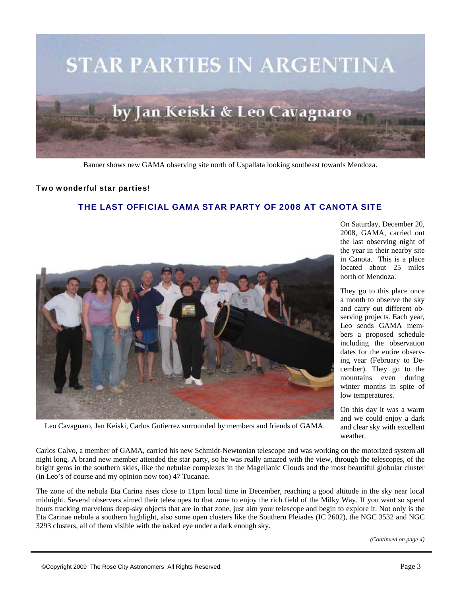

Banner shows new GAMA observing site north of Uspallata looking southeast towards Mendoza.

## Two wonderful star parties!

## THE LAST OFFICIAL GAMA STAR PARTY OF 2008 AT CANOTA SITE



On Saturday, December 20, 2008, GAMA, carried out the last observing night of the year in their nearby site in Canota. This is a place located about 25 miles north of Mendoza.

They go to this place once a month to observe the sky and carry out different observing projects. Each year, Leo sends GAMA members a proposed schedule including the observation dates for the entire observing year (February to December). They go to the mountains even during winter months in spite of low temperatures.

On this day it was a warm and we could enjoy a dark and clear sky with excellent weather.

Leo Cavagnaro, Jan Keiski, Carlos Gutierrez surrounded by members and friends of GAMA.

Carlos Calvo, a member of GAMA, carried his new Schmidt-Newtonian telescope and was working on the motorized system all night long. A brand new member attended the star party, so he was really amazed with the view, through the telescopes, of the bright gems in the southern skies, like the nebulae complexes in the Magellanic Clouds and the most beautiful globular cluster (in Leo's of course and my opinion now too) 47 Tucanae.

The zone of the nebula Eta Carina rises close to 11pm local time in December, reaching a good altitude in the sky near local midnight. Several observers aimed their telescopes to that zone to enjoy the rich field of the Milky Way. If you want so spend hours tracking marvelous deep-sky objects that are in that zone, just aim your telescope and begin to explore it. Not only is the Eta Carinae nebula a southern highlight, also some open clusters like the Southern Pleiades (IC 2602), the NGC 3532 and NGC 3293 clusters, all of them visible with the naked eye under a dark enough sky.

*(Continued on page 4)*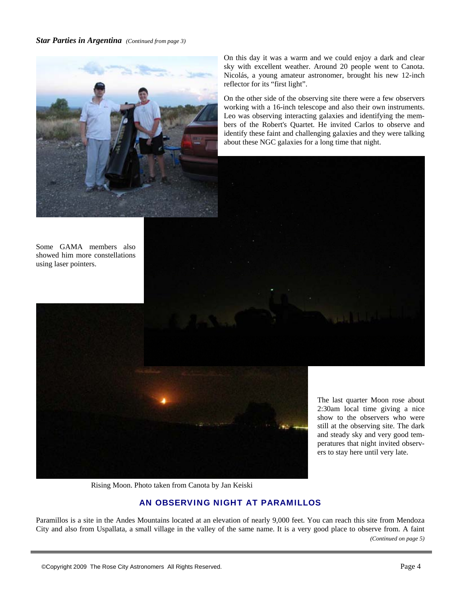*Star Parties in Argentina (Continued from page 3)* 



Some GAMA members also showed him more constellations using laser pointers.

On this day it was a warm and we could enjoy a dark and clear sky with excellent weather. Around 20 people went to Canota. Nicolás, a young amateur astronomer, brought his new 12-inch reflector for its "first light".

On the other side of the observing site there were a few observers working with a 16-inch telescope and also their own instruments. Leo was observing interacting galaxies and identifying the members of the Robert's Quartet. He invited Carlos to observe and identify these faint and challenging galaxies and they were talking about these NGC galaxies for a long time that night.





The last quarter Moon rose about 2:30am local time giving a nice show to the observers who were still at the observing site. The dark and steady sky and very good temperatures that night invited observers to stay here until very late.

Rising Moon. Photo taken from Canota by Jan Keiski

## AN OBSERVING NIGHT AT PARAMILLOS

Paramillos is a site in the Andes Mountains located at an elevation of nearly 9,000 feet. You can reach this site from Mendoza City and also from Uspallata, a small village in the valley of the same name. It is a very good place to observe from. A faint *(Continued on page 5)*